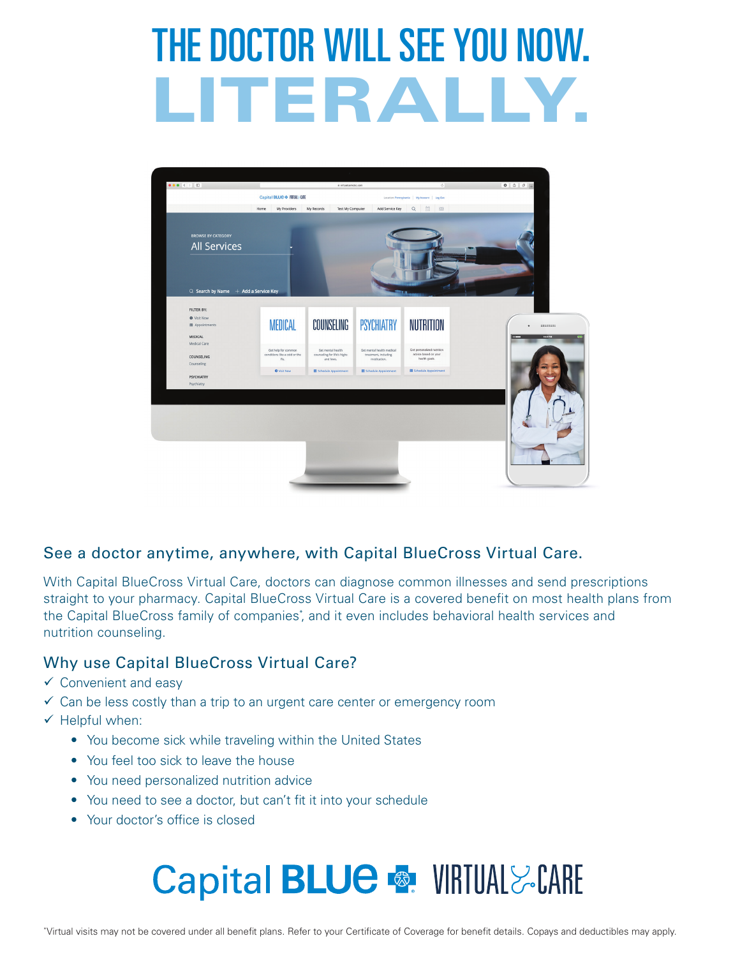# THE DOCTOR WILL SEE YOU NOW. LITERALLY.



#### See a doctor anytime, anywhere, with Capital BlueCross Virtual Care.

With Capital BlueCross Virtual Care, doctors can diagnose common illnesses and send prescriptions straight to your pharmacy. Capital BlueCross Virtual Care is a covered benefit on most health plans from the Capital BlueCross family of companies<sup>\*</sup>, and it even includes behavioral health services and nutrition counseling.

#### Why use Capital BlueCross Virtual Care?

- $\checkmark$  Convenient and easy
- $\checkmark$  Can be less costly than a trip to an urgent care center or emergency room
- $\checkmark$  Helpful when:
	- You become sick while traveling within the United States
	- You feel too sick to leave the house
	- You need personalized nutrition advice
	- You need to see a doctor, but can't fit it into your schedule
	- Your doctor's office is closed

# **Capital BLUE & VIRTUAL & CARE**